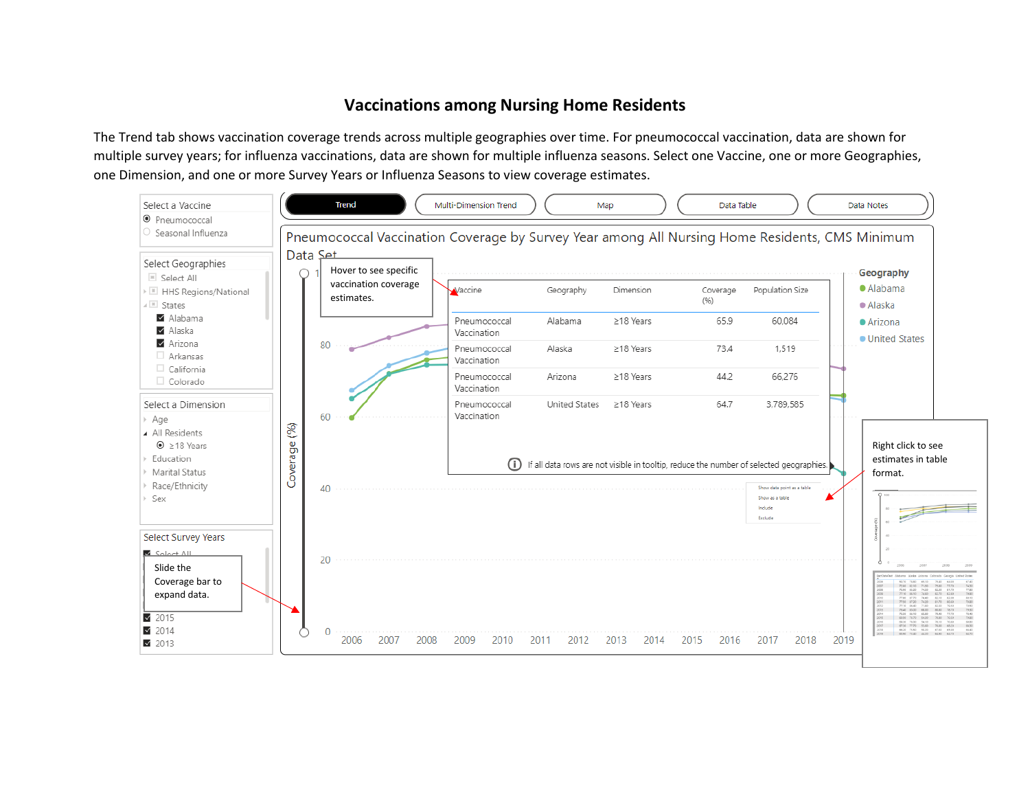## **Vaccinations among Nursing Home Residents**

The Trend tab shows vaccination coverage trends across multiple geographies over time. For pneumococcal vaccination, data are shown for multiple survey years; for influenza vaccinations, data are shown for multiple influenza seasons. Select one Vaccine, one or more Geographies, one Dimension, and one or more Survey Years or Influenza Seasons to view coverage estimates.

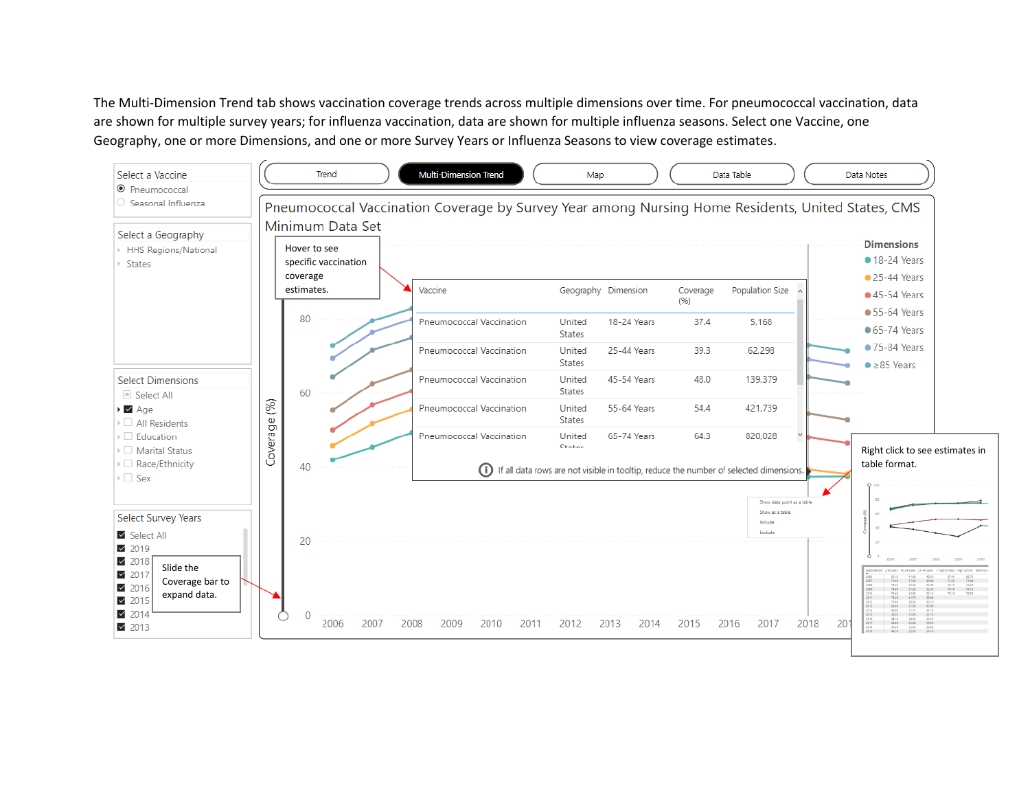The Multi-Dimension Trend tab shows vaccination coverage trends across multiple dimensions over time. For pneumococcal vaccination, data are shown for multiple survey years; for influenza vaccination, data are shown for multiple influenza seasons. Select one Vaccine, one Geography, one or more Dimensions, and one or more Survey Years or Influenza Seasons to view coverage estimates.

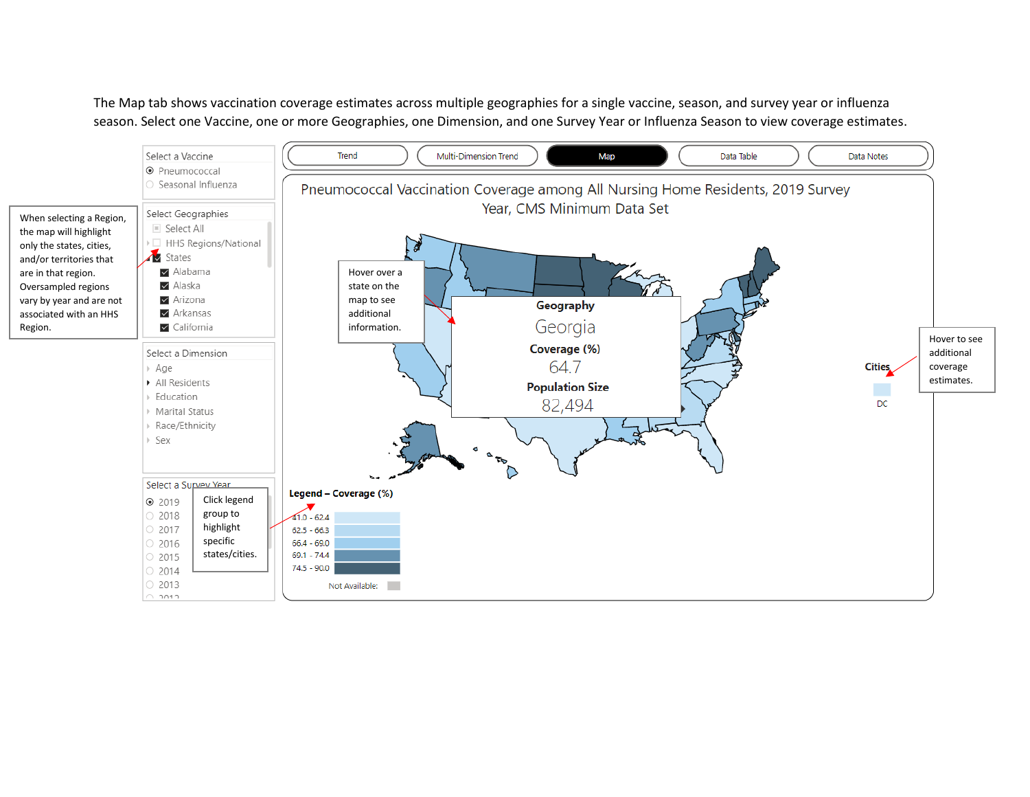The Map tab shows vaccination coverage estimates across multiple geographies for a single vaccine, season, and survey year or influenza season. Select one Vaccine, one or more Geographies, one Dimension, and one Survey Year or Influenza Season to view coverage estimates.